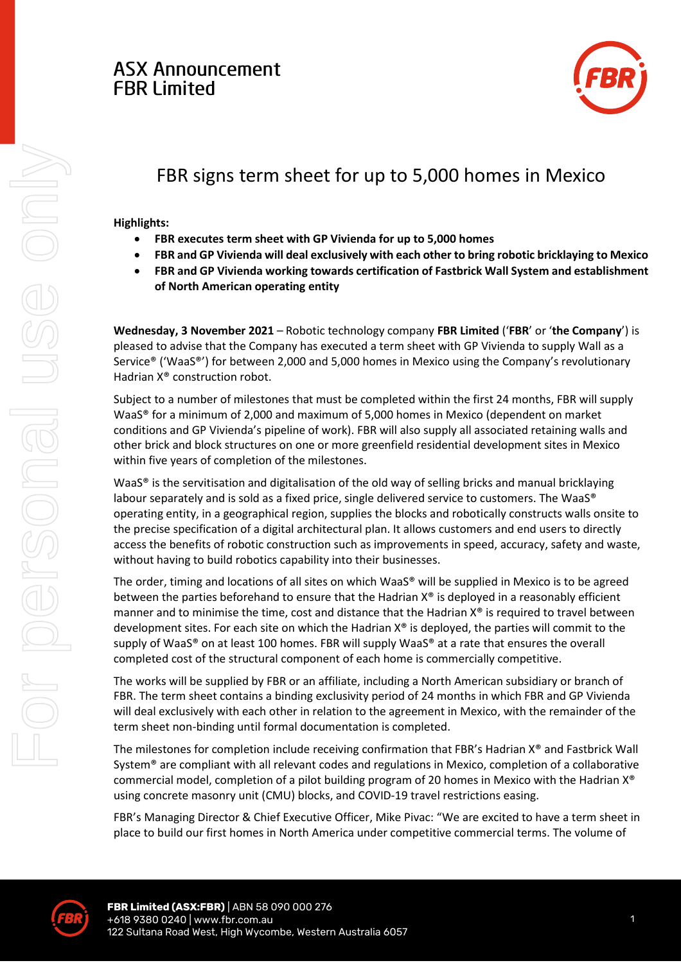## **ASX Announcement FBR Limited**



# FBR signs term sheet for up to 5,000 homes in Mexico

### **Highlights:**

- **FBR executes term sheet with GP Vivienda for up to 5,000 homes**
- **FBR and GP Vivienda will deal exclusively with each other to bring robotic bricklaying to Mexico**
- **FBR and GP Vivienda working towards certification of Fastbrick Wall System and establishment of North American operating entity**

**Wednesday, 3 November 2021** – Robotic technology company **FBR Limited** ('**FBR**' or '**the Company**') is pleased to advise that the Company has executed a term sheet with GP Vivienda to supply Wall as a Service® ('WaaS®') for between 2,000 and 5,000 homes in Mexico using the Company's revolutionary Hadrian X® construction robot.

Subject to a number of milestones that must be completed within the first 24 months, FBR will supply WaaS® for a minimum of 2,000 and maximum of 5,000 homes in Mexico (dependent on market conditions and GP Vivienda's pipeline of work). FBR will also supply all associated retaining walls and other brick and block structures on one or more greenfield residential development sites in Mexico within five years of completion of the milestones.

WaaS<sup>®</sup> is the servitisation and digitalisation of the old way of selling bricks and manual bricklaying labour separately and is sold as a fixed price, single delivered service to customers. The WaaS® operating entity, in a geographical region, supplies the blocks and robotically constructs walls onsite to the precise specification of a digital architectural plan. It allows customers and end users to directly access the benefits of robotic construction such as improvements in speed, accuracy, safety and waste, without having to build robotics capability into their businesses.

The order, timing and locations of all sites on which WaaS® will be supplied in Mexico is to be agreed between the parties beforehand to ensure that the Hadrian  $X^{\circ}$  is deployed in a reasonably efficient manner and to minimise the time, cost and distance that the Hadrian  $X^{\circ}$  is required to travel between development sites. For each site on which the Hadrian X® is deployed, the parties will commit to the supply of WaaS® on at least 100 homes. FBR will supply WaaS® at a rate that ensures the overall completed cost of the structural component of each home is commercially competitive.

The works will be supplied by FBR or an affiliate, including a North American subsidiary or branch of FBR. The term sheet contains a binding exclusivity period of 24 months in which FBR and GP Vivienda will deal exclusively with each other in relation to the agreement in Mexico, with the remainder of the term sheet non-binding until formal documentation is completed.

The milestones for completion include receiving confirmation that FBR's Hadrian X® and Fastbrick Wall System® are compliant with all relevant codes and regulations in Mexico, completion of a collaborative commercial model, completion of a pilot building program of 20 homes in Mexico with the Hadrian X® using concrete masonry unit (CMU) blocks, and COVID-19 travel restrictions easing.

FBR's Managing Director & Chief Executive Officer, Mike Pivac: "We are excited to have a term sheet in place to build our first homes in North America under competitive commercial terms. The volume of